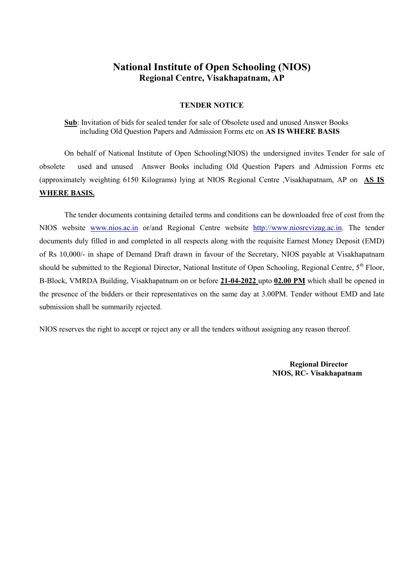#### TENDER NOTICE

Sub: Invitation of bids for sealed tender for sale of Obsolete used and unused Answer Books including Old Question Papers and Admission Forms etc on AS IS WHERE BASIS

On behalf of National Institute of Open Schooling(NIOS) the undersigned invites Tender for sale of obsolete used and unused Answer Books including Old Question Papers and Admission Forms etc (approximately weighting 6150 Kilograms) lying at NIOS Regional Centre ,Visakhapatnam, AP on AS IS WHERE BASIS.

The tender documents containing detailed terms and conditions can be downloaded free of cost from the NIOS website www.nios.ac.in or/and Regional Centre website http://www.niosrcvizag.ac.in. The tender documents duly filled in and completed in all respects along with the requisite Earnest Money Deposit (EMD) of Rs 10,000/- in shape of Demand Draft drawn in favour of the Secretary, NIOS payable at Visakhapatnam should be submitted to the Regional Director, National Institute of Open Schooling, Regional Centre, 5<sup>th</sup> Floor, B-Block, VMRDA Building, Visakhapatnam on or before 21-04-2022 upto 02.00 PM which shall be opened in the presence of the bidders or their representatives on the same day at 3.00PM. Tender without EMD and late submission shall be summarily rejected.

NIOS reserves the right to accept or reject any or all the tenders without assigning any reason thereof.

Regional Director NIOS, RC- Visakhapatnam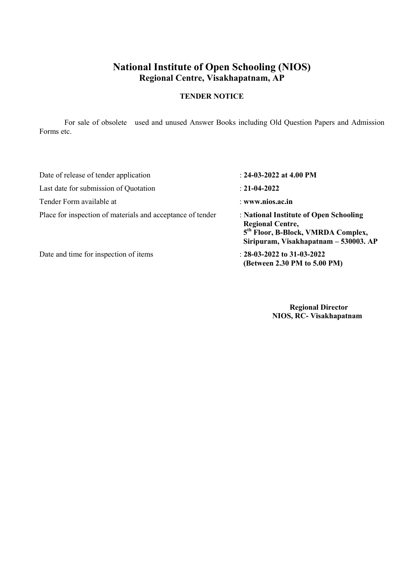### TENDER NOTICE

For sale of obsolete used and unused Answer Books including Old Question Papers and Admission Forms etc.

| Date of release of tender application                      | : $24-03-2022$ at 4.00 PM                                                                                                                                    |
|------------------------------------------------------------|--------------------------------------------------------------------------------------------------------------------------------------------------------------|
| Last date for submission of Quotation                      | $: 21-04-2022$                                                                                                                                               |
| Tender Form available at                                   | : www.nios.ac.in                                                                                                                                             |
| Place for inspection of materials and acceptance of tender | : National Institute of Open Schooling<br><b>Regional Centre,</b><br>5 <sup>th</sup> Floor, B-Block, VMRDA Complex,<br>Siripuram, Visakhapatnam – 530003. AP |
| Date and time for inspection of items                      | : $28-03-2022$ to $31-03-2022$<br>(Between 2.30 PM to 5.00 PM)                                                                                               |

 Regional Director NIOS, RC- Visakhapatnam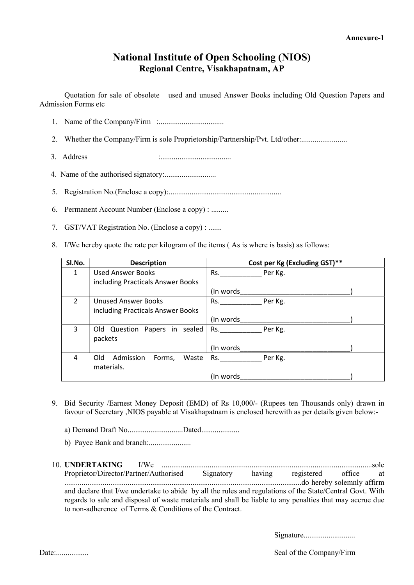Quotation for sale of obsolete used and unused Answer Books including Old Question Papers and Admission Forms etc

- 1. Name of the Company/Firm :..................................
- 2. Whether the Company/Firm is sole Proprietorship/Partnership/Pvt. Ltd/other:................................
- 3. Address :.....................................
- 4. Name of the authorised signatory:...........................
- 5. Registration No.(Enclose a copy):...........................................................
- 6. Permanent Account Number (Enclose a copy) : .........
- 7. GST/VAT Registration No. (Enclose a copy) : .......
- 8. I/We hereby quote the rate per kilogram of the items ( As is where is basis) as follows:

| Sl.No.        | <b>Description</b>                  | Cost per Kg (Excluding GST)** |
|---------------|-------------------------------------|-------------------------------|
| 1             | <b>Used Answer Books</b>            | Rs.<br>Per Kg.                |
|               | including Practicals Answer Books   |                               |
|               |                                     | (In words)                    |
| $\mathcal{P}$ | <b>Unused Answer Books</b>          | Rs.<br>Per Kg.                |
|               | including Practicals Answer Books   |                               |
|               |                                     | (In words)                    |
| 3             | Old Question Papers in sealed       | Per Kg.<br>Rs.                |
|               | packets                             |                               |
|               |                                     | (In words)                    |
| 4             | Old<br>Admission<br>Waste<br>Forms, | Per Kg.<br>Rs.                |
|               | materials.                          |                               |
|               |                                     | (In words)                    |

- 9. Bid Security /Earnest Money Deposit (EMD) of Rs 10,000/- (Rupees ten Thousands only) drawn in favour of Secretary ,NIOS payable at Visakhapatnam is enclosed herewith as per details given below:
	- a) Demand Draft No................................Dated....................
	- b) Payee Bank and branch:......................
- 10. UNDERTAKING I/We ..............................................................................................................sole Proprietor/Director/Partner/Authorised Signatory having registered office at ............................................................................................................................do hereby solemnly affirm and declare that I/we undertake to abide by all the rules and regulations of the State/Central Govt. With regards to sale and disposal of waste materials and shall be liable to any penalties that may accrue due to non-adherence of Terms & Conditions of the Contract.

Signature...............................

Date:................. Seal of the Company/Firm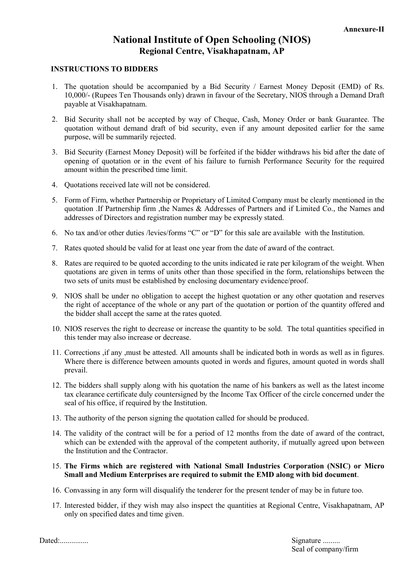#### INSTRUCTIONS TO BIDDERS

- 1. The quotation should be accompanied by a Bid Security / Earnest Money Deposit (EMD) of Rs. 10,000/- (Rupees Ten Thousands only) drawn in favour of the Secretary, NIOS through a Demand Draft payable at Visakhapatnam.
- 2. Bid Security shall not be accepted by way of Cheque, Cash, Money Order or bank Guarantee. The quotation without demand draft of bid security, even if any amount deposited earlier for the same purpose, will be summarily rejected.
- 3. Bid Security (Earnest Money Deposit) will be forfeited if the bidder withdraws his bid after the date of opening of quotation or in the event of his failure to furnish Performance Security for the required amount within the prescribed time limit.
- 4. Quotations received late will not be considered.
- 5. Form of Firm, whether Partnership or Proprietary of Limited Company must be clearly mentioned in the quotation .If Partnership firm ,the Names & Addresses of Partners and if Limited Co., the Names and addresses of Directors and registration number may be expressly stated.
- 6. No tax and/or other duties /levies/forms "C" or "D" for this sale are available with the Institution.
- 7. Rates quoted should be valid for at least one year from the date of award of the contract.
- 8. Rates are required to be quoted according to the units indicated ie rate per kilogram of the weight. When quotations are given in terms of units other than those specified in the form, relationships between the two sets of units must be established by enclosing documentary evidence/proof.
- 9. NIOS shall be under no obligation to accept the highest quotation or any other quotation and reserves the right of acceptance of the whole or any part of the quotation or portion of the quantity offered and the bidder shall accept the same at the rates quoted.
- 10. NIOS reserves the right to decrease or increase the quantity to be sold. The total quantities specified in this tender may also increase or decrease.
- 11. Corrections ,if any ,must be attested. All amounts shall be indicated both in words as well as in figures. Where there is difference between amounts quoted in words and figures, amount quoted in words shall prevail.
- 12. The bidders shall supply along with his quotation the name of his bankers as well as the latest income tax clearance certificate duly countersigned by the Income Tax Officer of the circle concerned under the seal of his office, if required by the Institution.
- 13. The authority of the person signing the quotation called for should be produced.
- 14. The validity of the contract will be for a period of 12 months from the date of award of the contract, which can be extended with the approval of the competent authority, if mutually agreed upon between the Institution and the Contractor.
- 15. The Firms which are registered with National Small Industries Corporation (NSIC) or Micro Small and Medium Enterprises are required to submit the EMD along with bid document.
- 16. Convassing in any form will disqualify the tenderer for the present tender of may be in future too.
- 17. Interested bidder, if they wish may also inspect the quantities at Regional Centre, Visakhapatnam, AP only on specified dates and time given.

Dated:............... Signature .........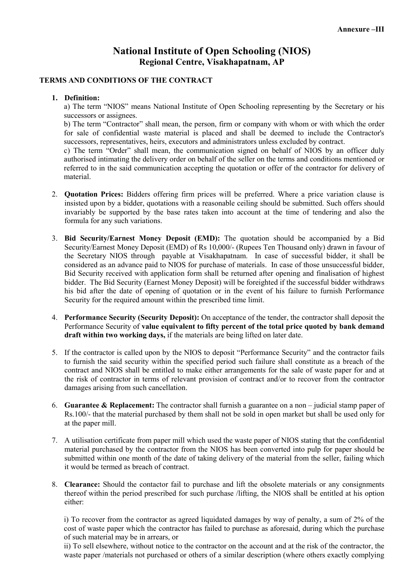### TERMS AND CONDITIONS OF THE CONTRACT

#### 1. Definition:

a) The term "NIOS" means National Institute of Open Schooling representing by the Secretary or his successors or assignees.

b) The term "Contractor" shall mean, the person, firm or company with whom or with which the order for sale of confidential waste material is placed and shall be deemed to include the Contractor's successors, representatives, heirs, executors and administrators unless excluded by contract.

c) The term "Order" shall mean, the communication signed on behalf of NIOS by an officer duly authorised intimating the delivery order on behalf of the seller on the terms and conditions mentioned or referred to in the said communication accepting the quotation or offer of the contractor for delivery of material.

- 2. Quotation Prices: Bidders offering firm prices will be preferred. Where a price variation clause is insisted upon by a bidder, quotations with a reasonable ceiling should be submitted. Such offers should invariably be supported by the base rates taken into account at the time of tendering and also the formula for any such variations.
- 3. Bid Security/Earnest Money Deposit (EMD): The quotation should be accompanied by a Bid Security/Earnest Money Deposit (EMD) of Rs 10,000/- (Rupees Ten Thousand only) drawn in favour of the Secretary NIOS through payable at Visakhapatnam. In case of successful bidder, it shall be considered as an advance paid to NIOS for purchase of materials. In case of those unsuccessful bidder, Bid Security received with application form shall be returned after opening and finalisation of highest bidder. The Bid Security (Earnest Money Deposit) will be foreighted if the successful bidder withdraws his bid after the date of opening of quotation or in the event of his failure to furnish Performance Security for the required amount within the prescribed time limit.
- 4. Performance Security (Security Deposit): On acceptance of the tender, the contractor shall deposit the Performance Security of value equivalent to fifty percent of the total price quoted by bank demand draft within two working days, if the materials are being lifted on later date.
- 5. If the contractor is called upon by the NIOS to deposit "Performance Security" and the contractor fails to furnish the said security within the specified period such failure shall constitute as a breach of the contract and NIOS shall be entitled to make either arrangements for the sale of waste paper for and at the risk of contractor in terms of relevant provision of contract and/or to recover from the contractor damages arising from such cancellation.
- 6. Guarantee & Replacement: The contractor shall furnish a guarantee on a non judicial stamp paper of Rs.100/- that the material purchased by them shall not be sold in open market but shall be used only for at the paper mill.
- 7. A utilisation certificate from paper mill which used the waste paper of NIOS stating that the confidential material purchased by the contractor from the NIOS has been converted into pulp for paper should be submitted within one month of the date of taking delivery of the material from the seller, failing which it would be termed as breach of contract.
- 8. Clearance: Should the contactor fail to purchase and lift the obsolete materials or any consignments thereof within the period prescribed for such purchase /lifting, the NIOS shall be entitled at his option either:

i) To recover from the contractor as agreed liquidated damages by way of penalty, a sum of 2% of the cost of waste paper which the contractor has failed to purchase as aforesaid, during which the purchase of such material may be in arrears, or

ii) To sell elsewhere, without notice to the contractor on the account and at the risk of the contractor, the waste paper /materials not purchased or others of a similar description (where others exactly complying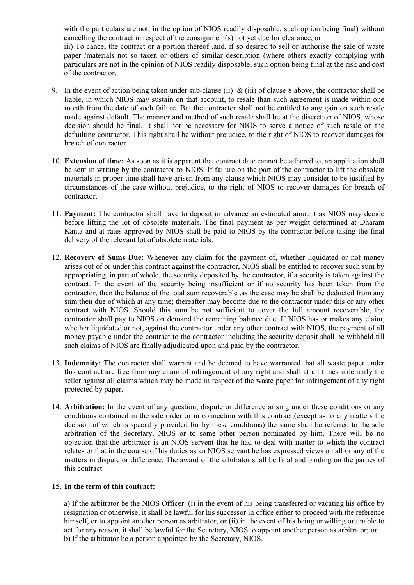with the particulars are not, in the option of NIOS readily disposable, such option being final) without cancelling the contract in respect of the consignment(s) not yet due for clearance, or iii) To cancel the contract or a portion thereof ,and, if so desired to sell or authorise the sale of waste paper /materials not so taken or others of similar description (where others exactly complying with particulars are not in the opinion of NIOS readily disposable, such option being final at the risk and cost of the contractor.

- 9. In the event of action being taken under sub-clause (ii) & (iii) of clause 8 above, the contractor shall be liable, in which NIOS may sustain on that account, to resale than such agreement is made within one month from the date of such failure. But the contractor shall not be entitled to any gain on such resale made against default. The manner and method of such resale shall be at the discretion of NIOS, whose decision should be final. It shall not be necessary for NIOS to serve a notice of such resale on the defaulting contractor. This right shall be without prejudice, to the right of NIOS to recover damages for breach of contractor.
- 10. Extension of time: As soon as it is apparent that contract date cannot be adhered to, an application shall be sent in writing by the contractor to NIOS. If failure on the part of the contractor to lift the obsolete materials in proper time shall have arisen from any clause which NIOS may consider to be justified by circumstances of the case without prejudice, to the right of NIOS to recover damages for breach of contractor.
- 11. Payment: The contractor shall have to deposit in advance an estimated amount as NIOS may decide before lifting the lot of obsolete materials. The final payment as per weight determined at Dharam Kanta and at rates approved by NIOS shall be paid to NIOS by the contractor before taking the final delivery of the relevant lot of obsolete materials.
- 12. Recovery of Sums Due: Whenever any claim for the payment of, whether liquidated or not money arises out of or under this contract against the contractor, NIOS shall be entitled to recover such sum by appropriating, in part of whole, the security deposited by the contractor, if a security is taken against the contract. In the event of the security being insufficient or if no security has been taken from the contractor, then the balance of the total sum recoverable ,as the case may be shall be deducted from any sum then due of which at any time; thereafter may become due to the contractor under this or any other contract with NIOS. Should this sum be not sufficient to cover the full amount recoverable, the contractor shall pay to NIOS on demand the remaining balance due. If NIOS has or makes any claim, whether liquidated or not, against the contractor under any other contract with NIOS, the payment of all money payable under the contract to the contractor including the security deposit shall be withheld till such claims of NIOS are finally adjudicated upon and paid by the contractor.
- 13. Indemnity: The contractor shall warrant and be deemed to have warranted that all waste paper under this contract are free from any claim of infringement of any right and shall at all times indemnify the seller against all claims which may be made in respect of the waste paper for infringement of any right protected by paper.
- 14. Arbitration: In the event of any question, dispute or difference arising under these conditions or any conditions contained in the sale order or in connection with this contract,(except as to any matters the decision of which is specially provided for by these conditions) the same shall be referred to the sole arbitration of the Secretary, NIOS or to some other person nominated by him. There will be no objection that the arbitrator is an NIOS servent that he had to deal with matter to which the contract relates or that in the course of his duties as an NIOS servant he has expressed views on all or any of the matters in dispute or difference. The award of the arbitrator shall be final and binding on the parties of this contract.

#### 15. In the term of this contract:

a) If the arbitrator be the NIOS Officer: (i) in the event of his being transferred or vacating his office by resignation or otherwise, it shall be lawful for his successor in office either to proceed with the reference himself, or to appoint another person as arbitrator, or (ii) in the event of his being unwilling or unable to act for any reason, it shall be lawful for the Secretary, NIOS to appoint another person as arbitrator; or b) If the arbitrator be a person appointed by the Secretary, NIOS.